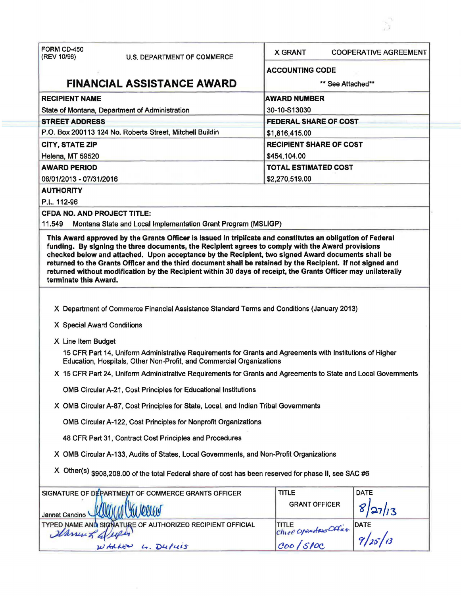| FORM CD-450<br>(REV 10/98)                                                                                     | <b>U.S. DEPARTMENT OF COMMERCE</b>                                                                    | <b>X GRANT</b><br><b>COOPERATIVE AGREEMENT</b>                                                            |
|----------------------------------------------------------------------------------------------------------------|-------------------------------------------------------------------------------------------------------|-----------------------------------------------------------------------------------------------------------|
|                                                                                                                |                                                                                                       | <b>ACCOUNTING CODE</b>                                                                                    |
| <b>FINANCIAL ASSISTANCE AWARD</b>                                                                              |                                                                                                       | ** See Attached**                                                                                         |
| <b>RECIPIENT NAME</b>                                                                                          |                                                                                                       | <b>AWARD NUMBER</b>                                                                                       |
| State of Montana, Department of Administration                                                                 |                                                                                                       | 30-10-S13030                                                                                              |
| <b>STREET ADDRESS</b>                                                                                          |                                                                                                       | <b>FEDERAL SHARE OF COST</b>                                                                              |
| P.O. Box 200113 124 No. Roberts Street, Mitchell Buildin                                                       |                                                                                                       | \$1,816,415.00                                                                                            |
| <b>CITY, STATE ZIP</b>                                                                                         |                                                                                                       | <b>RECIPIENT SHARE OF COST</b>                                                                            |
| Helena, MT 59520                                                                                               |                                                                                                       | \$454,104.00                                                                                              |
| <b>AWARD PERIOD</b>                                                                                            |                                                                                                       | <b>TOTAL ESTIMATED COST</b>                                                                               |
| 08/01/2013 - 07/31/2016                                                                                        |                                                                                                       | \$2,270,519.00                                                                                            |
| <b>AUTHORITY</b>                                                                                               |                                                                                                       |                                                                                                           |
| P.L. 112-96                                                                                                    |                                                                                                       |                                                                                                           |
| <b>CFDA NO. AND PROJECT TITLE:</b>                                                                             |                                                                                                       |                                                                                                           |
| 11.549                                                                                                         | Montana State and Local Implementation Grant Program (MSLIGP)                                         |                                                                                                           |
| terminate this Award.                                                                                          |                                                                                                       |                                                                                                           |
|                                                                                                                | X Department of Commerce Financial Assistance Standard Terms and Conditions (January 2013)            |                                                                                                           |
| X Special Award Conditions                                                                                     |                                                                                                       |                                                                                                           |
| X Line Item Budget                                                                                             |                                                                                                       |                                                                                                           |
|                                                                                                                | Education, Hospitals, Other Non-Profit, and Commercial Organizations                                  | 15 CFR Part 14, Uniform Administrative Requirements for Grants and Agreements with Institutions of Higher |
| X 15 CFR Part 24, Uniform Administrative Requirements for Grants and Agreements to State and Local Governments |                                                                                                       |                                                                                                           |
|                                                                                                                | OMB Circular A-21, Cost Principles for Educational Institutions                                       |                                                                                                           |
|                                                                                                                | X OMB Circular A-87, Cost Principles for State, Local, and Indian Tribal Governments                  |                                                                                                           |
|                                                                                                                | OMB Circular A-122, Cost Principles for Nonprofit Organizations                                       |                                                                                                           |
|                                                                                                                | 48 CFR Part 31, Contract Cost Principles and Procedures                                               |                                                                                                           |
|                                                                                                                | X OMB Circular A-133, Audits of States, Local Governments, and Non-Profit Organizations               |                                                                                                           |
|                                                                                                                | X Other(s) \$908,208.00 of the total Federal share of cost has been reserved for phase II, see SAC #6 |                                                                                                           |
|                                                                                                                | SIGNATURE OF DEPARTMENT OF COMMERCE GRANTS OFFICER                                                    | <b>DATE</b><br><b>TITLE</b>                                                                               |
| Jannet Cancino                                                                                                 |                                                                                                       | <b>GRANT OFFICER</b><br>27/13                                                                             |
|                                                                                                                | TYPED NAME AND SIGNATURE OF AUTHORIZED RECIPIENT OFFICIAL                                             | <b>TITLE</b>                                                                                              |
| 2Carry 5                                                                                                       |                                                                                                       | DATE<br>$9/25/13$<br>Chief Openstrus Office                                                               |
|                                                                                                                | 4. Dufuis<br>WALLER                                                                                   |                                                                                                           |

 $\mathbb{R}^3$